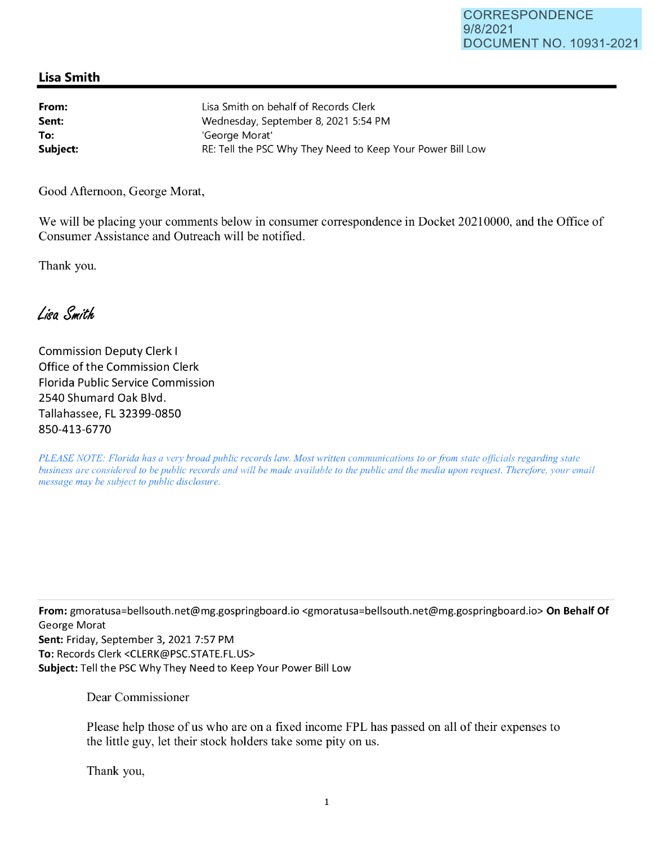## **Lisa Smith**

| From:    | Lisa Smith on behalf of Records Clerk                      |
|----------|------------------------------------------------------------|
| Sent:    | Wednesday, September 8, 2021 5:54 PM                       |
| To:      | 'George Morat'                                             |
| Subject: | RE: Tell the PSC Why They Need to Keep Your Power Bill Low |

Good Afternoon, George Morat,

We will be placing your comments below in consumer correspondence in Docket 20210000, and the Office of Consumer Assistance and Outreach will be notified.

Thank you.

Lisa Smith

Commission Deputy Clerk I Office of the Commission Clerk Florida Public Service Commission 2540 Shumard Oak Blvd. Tallahassee, FL 32399-0850 850-413-6770

*PLEASE NOTE: Florida has a very broad public records law. Most written communications to or from state officials regarding state business are considered to be public records and will be made available to the public and the media upon request. Therefore, your email message may be subject to public disclosure.* 

**From:** gmoratusa=bellsouth.net@mg.gospringboard.io <gmoratusa=bellsouth.net@mg.gospringboard.io> **On Behalf Of**  George Marat **Sent:** Friday, September 3, 2021 7:57 PM **To:** Records Clerk <CLERK@PSC.STATE.FL.US> **Subject:** Tell the PSC Why They Need to Keep Your Power Bill Low

Dear Commissioner

Please help those of us who are on a fixed income FPL has passed on all of their expenses to the little guy, let their stock holders take some pity on us.

Thank you,